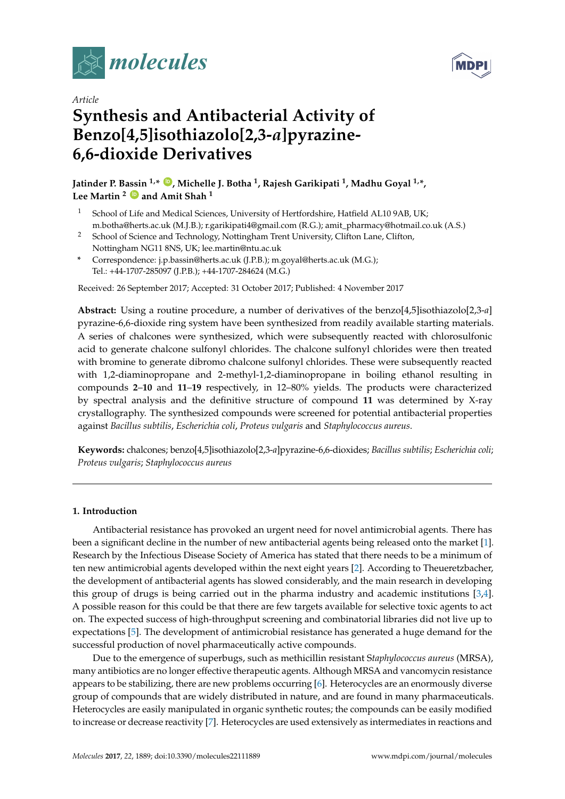



# *Article* **Synthesis and Antibacterial Activity of Benzo[4,5]isothiazolo[2,3-***a***]pyrazine-6,6-dioxide Derivatives**

**Jatinder P. Bassin 1,\* [ID](https://orcid.org/0000-0001-5835-5881) , Michelle J. Botha <sup>1</sup> , Rajesh Garikipati <sup>1</sup> , Madhu Goyal 1,\*, Lee Martin <sup>2</sup> [ID](https://orcid.org/0000-0002-5330-5700) and Amit Shah <sup>1</sup>**

- <sup>1</sup> School of Life and Medical Sciences, University of Hertfordshire, Hatfield AL10 9AB, UK; m.botha@herts.ac.uk (M.J.B.); r.garikipati4@gmail.com (R.G.); amit\_pharmacy@hotmail.co.uk (A.S.)
- <sup>2</sup> School of Science and Technology, Nottingham Trent University, Clifton Lane, Clifton, Nottingham NG11 8NS, UK; lee.martin@ntu.ac.uk
- **\*** Correspondence: j.p.bassin@herts.ac.uk (J.P.B.); m.goyal@herts.ac.uk (M.G.); Tel.: +44-1707-285097 (J.P.B.); +44-1707-284624 (M.G.)

Received: 26 September 2017; Accepted: 31 October 2017; Published: 4 November 2017

**Abstract:** Using a routine procedure, a number of derivatives of the benzo[4,5]isothiazolo[2,3-*a*] pyrazine-6,6-dioxide ring system have been synthesized from readily available starting materials. A series of chalcones were synthesized, which were subsequently reacted with chlorosulfonic acid to generate chalcone sulfonyl chlorides. The chalcone sulfonyl chlorides were then treated with bromine to generate dibromo chalcone sulfonyl chlorides. These were subsequently reacted with 1,2-diaminopropane and 2-methyl-1,2-diaminopropane in boiling ethanol resulting in compounds **2**–**10** and **11**–**19** respectively, in 12–80% yields. The products were characterized by spectral analysis and the definitive structure of compound **11** was determined by X-ray crystallography. The synthesized compounds were screened for potential antibacterial properties against *Bacillus subtilis*, *Escherichia coli*, *Proteus vulgaris* and *Staphylococcus aureus*.

**Keywords:** chalcones; benzo[4,5]isothiazolo[2,3-*a*]pyrazine-6,6-dioxides; *Bacillus subtilis*; *Escherichia coli*; *Proteus vulgaris*; *Staphylococcus aureus*

# **1. Introduction**

Antibacterial resistance has provoked an urgent need for novel antimicrobial agents. There has been a significant decline in the number of new antibacterial agents being released onto the market [\[1\]](#page-9-0). Research by the Infectious Disease Society of America has stated that there needs to be a minimum of ten new antimicrobial agents developed within the next eight years [\[2\]](#page-9-1). According to Theueretzbacher, the development of antibacterial agents has slowed considerably, and the main research in developing this group of drugs is being carried out in the pharma industry and academic institutions [\[3,](#page-9-2)[4\]](#page-9-3). A possible reason for this could be that there are few targets available for selective toxic agents to act on. The expected success of high-throughput screening and combinatorial libraries did not live up to expectations [\[5\]](#page-9-4). The development of antimicrobial resistance has generated a huge demand for the successful production of novel pharmaceutically active compounds.

Due to the emergence of superbugs, such as methicillin resistant S*taphylococcus aureus* (MRSA), many antibiotics are no longer effective therapeutic agents. Although MRSA and vancomycin resistance appears to be stabilizing, there are new problems occurring [\[6\]](#page-9-5). Heterocycles are an enormously diverse group of compounds that are widely distributed in nature, and are found in many pharmaceuticals. Heterocycles are easily manipulated in organic synthetic routes; the compounds can be easily modified to increase or decrease reactivity [\[7\]](#page-9-6). Heterocycles are used extensively as intermediates in reactions and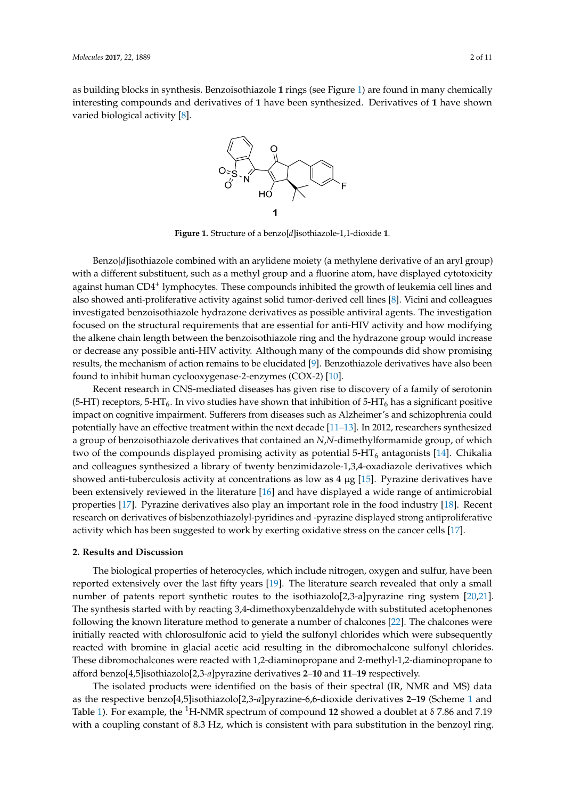<span id="page-1-0"></span>as building blocks in synthesis. Benzoisothiazole 1 rings (see Figure [1\)](#page-1-0) are found in many chemically interesting compounds and derivatives of **1** have been synthesized. Derivatives of **1** have shown varied biological activity [\[8\]](#page-9-7). synthesized. Derivatives of **1** have shown varied biological activity [8].



**Figure 1.** Structure of a benzo[*d*]isothiazole-1,1-dioxide **1**. **Figure 1.** Structure of a benzo[*d*]isothiazole-1,1-dioxide **1**.

Benzo[*d*]isothiazole combined with an arylidene moiety (a methylene derivative of an aryl Benzo[*d*]isothiazole combined with an arylidene moiety (a methylene derivative of an aryl group) with a different substituent, such as a methyl group and a fluorine atom, have displayed cytotoxicity against human CD4<sup>+</sup> lymphocytes. These compounds inhibited the growth of leukemia cell lines and also showed anti-proliferative activity against solid tumor-derived cell lines [\[8\]](#page-9-7). Vicini and colleagues investigated benzoisothiazole hydrazone derivatives as possible antiviral agents. The investigation focused on the structural requirements that are essential for anti-HIV activity and how modifying the alkene chain length between the benzoisothiazole ring and the hydrazone group would increase or decrease any possible anti-HIV activity. Although many of the compounds did show promising results, the mechanism of action remains to be elucidated [9]. Benzothiazole derivatives have also been found to inhibit human cyclooxygenase-2-enzymes (COX-2) [10].

Recent research in CNS-mediated diseases has given rise to discovery of a family of serotonin (5-HT) receptors, 5-HT<sub>6</sub>. In vivo studies have shown that inhibition of 5-HT<sub>6</sub> has a significant positive impact on cognitive impairment. Sufferers from diseases such as Alzheimer's and schizophrenia could potentially have an effective treatment within the next decade [\[11](#page-9-10)[–13\]](#page-9-11). In 2012, researchers synthesized a<br> group of benzoisothiazole derivatives that contained an *N*,*N*-dimethylformamide group, of which  $\epsilon$  (here and colleagues sympatric and collection and collection and collection  $\epsilon$ ,  $\epsilon$ ,  $\epsilon$ ,  $\epsilon$ ,  $\epsilon$ ,  $\epsilon$ ,  $\epsilon$ ,  $\epsilon$ ,  $\epsilon$ ,  $\epsilon$ ,  $\epsilon$ ,  $\epsilon$ ,  $\epsilon$ ,  $\epsilon$ ,  $\epsilon$ ,  $\epsilon$ ,  $\epsilon$ ,  $\epsilon$ ,  $\epsilon$ ,  $\epsilon$ ,  $\epsilon$ ,  $\epsilon$ ,  $\epsilon$ ,  $\$ two of the compounds displayed promising activity as potential 5-HT<sub>6</sub> antagonists [\[14\]](#page-9-12). Chikalia and colleagues synthesized a library of twenty benzimidazole-1,3,4-oxadiazole derivatives which showed anti-tuberculosis activity at concentrations as low as  $4 \mu$ g [\[15\]](#page-9-13). Pyrazine derivatives have been extensively reviewed in the literature  $[16]$  and have displayed a wide range of antimicrobial properties [\[17\]](#page-9-15). Pyrazine derivatives also play an important role in the food industry [\[18\]](#page-9-16). Recent activity which has been suggested to work by exerting oxidative stress on the cancer cells [\[17\]](#page-9-15). research on derivatives of bisbenzothiazolyl-pyridines and -pyrazine displayed strong antiproliferative

#### $\frac{1}{2}$  biological properties of heterocycles, which include nitrogen,  $\frac{1}{2}$  and  $\frac{1}{2}$  and  $\frac{1}{2}$  and  $\frac{1}{2}$  and  $\frac{1}{2}$  and  $\frac{1}{2}$  and  $\frac{1}{2}$  and  $\frac{1}{2}$  and  $\frac{1}{2}$  and  $\frac{1}{2}$  and  $\frac{1}{2}$ reported extensively over the last fifty years [19]. The literature search revealed that only a small **2. Results and Discussion**

The biological properties of heterocycles, which include nitrogen, oxygen and sulfur, have been reported extensively over the last fifty years [19]. The literature search revealed that only a small number of patents report synthetic routes to the isothiazolo[2,3-a]pyrazine ring system [20[,21\]](#page-9-19). The synthesis started with by reacting 3,4-dimethoxybenzaldehyde with substituted acetophenones following the known literature method to generate a number of chalcones [\[22\]](#page-10-0). The chalcones were initially reacted with chlorosulfonic acid to yield the sulfonyl chlorides which were subsequently reacted with bromine in glacial acetic acid resulting in the dibromochalcone sulfonyl chlorides. These dibromochalcones were reacted with 1,2-diaminopropane and 2-methyl-1,2-diaminopropane to afford benzo[4,5]isothiazolo[2,3-a]pyrazine derivatives 2–10 and 11–19 respectively.

The isolated products were identified on the basis of their spectral (IR, NMR and MS) data coupling constant of 8.3 Hz, which is consistent with para substitution in the benzo of the benzo of the benzo as the respective benzo[4,5]isothiazolo[2,3-*a*]pyrazine-6,6-dioxide derivatives **2–[1](#page-2-0)9** (Scheme 1 and  $\overline{a}$ Table [1\)](#page-3-0). For example, the <sup>1</sup>H-NMR spectrum of compound **12** showed a doublet at  $\delta$  7.86 and 7.19 with a coupling constant of 8.3 Hz, which is consistent with para substitution in the benzoyl ring.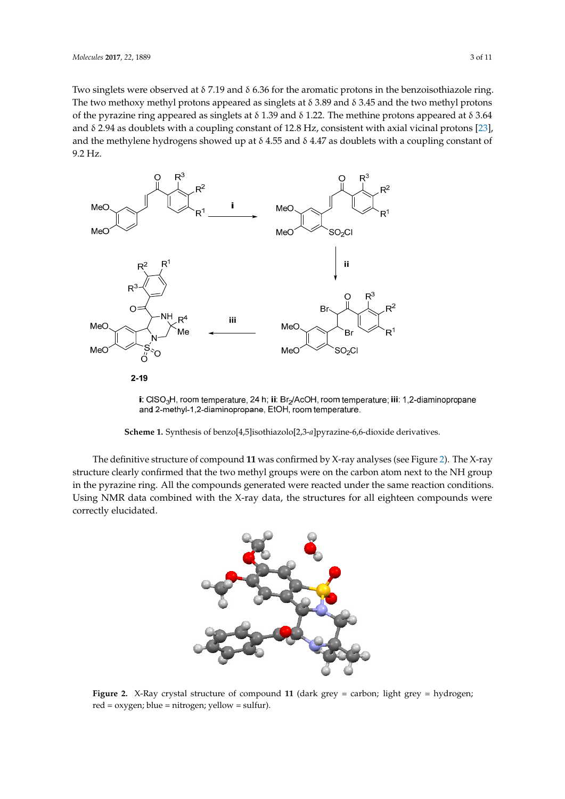Two singlets were observed at δ 7.19 and δ 6.36 for the aromatic protons in the benzoisothiazole ring. The two methoxy methyl protons appeared as singlets at  $\delta$  3.89 and  $\delta$  3.45 and the two methyl protons of the pyrazine ring appeared as singlets at δ 1.39 and δ 1.22. The methine protons appeared at δ 3.64 and δ 2.94 as doublets with a coupling constant of 12.8 Hz, consistent with axial vicinal protons [\[23\]](#page-10-1), and the methylene hydrogens showed up at  $\delta$  4.55 and  $\delta$  4.47 as doublets with a coupling constant of 9.2 Hz. the methylene hydrogens showed up at  $4.55$  and  $3.5$  and  $3.47$  as doublets with a coupling constant of 9.2 Hz.  $t_{\rm 112}$ 

<span id="page-2-0"></span>

i: CISO<sub>3</sub>H, room temperature, 24 h; ii: Br<sub>2</sub>/AcOH, room temperature; iii: 1,2-diaminopropane and 2-methyl-1,2-diaminopropane, EtOH, room temperature.

Scheme 1. Synthesis of benzo[4,5]isothiazolo[2,3-a]pyrazine-6,6-dioxide derivatives.

<span id="page-2-1"></span>The definitive structure of compound **11** was confirmed by X-ray analyses (see figure 2). The X-The definitive structure of compound 11 was confirmed by X-ray analyses (see Figure [2\)](#page-2-1). The X-ray structure clearly confirmed that the two methyl groups were on the carbon atom next to the NH group in the pyrazine ring. All the compounds generated were reacted under the same reaction conditions. were correctly elucidated. Using NMR data combined with the X-ray data, the structures for all eighteen compounds were correctly elucidated. me entre combine



**Figure 2.** X-Ray crystal structure of compound 11 (dark grey = carbon; light grey = hydrogen;  $ext{red} = \text{oxygen; blue} = \text{nitrogen; yellow} = \text{sulfur}.$  $\overline{y}$  = nitrogen; yet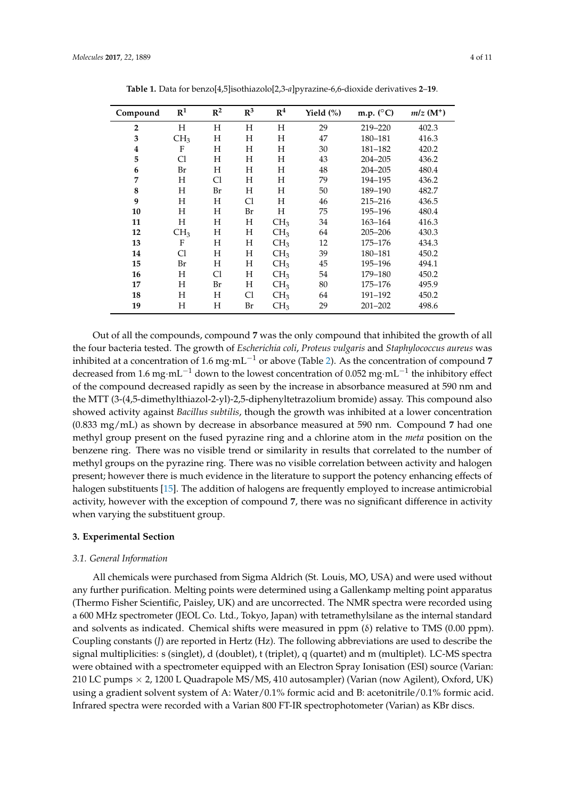<span id="page-3-0"></span>

| Compound       | R <sup>1</sup>  | $R^2$ | $R^3$ | R <sup>4</sup>  | Yield (%) | m.p. $(^{\circ}C)$ | $mlz(M^+)$ |
|----------------|-----------------|-------|-------|-----------------|-----------|--------------------|------------|
| $\overline{2}$ | H               | H     | H     | H               | 29        | 219-220            | 402.3      |
| 3              | CH <sub>3</sub> | Η     | Η     | Н               | 47        | 180-181            | 416.3      |
| 4              | F               | Η     | H     | Н               | 30        | 181-182            | 420.2      |
| 5              | C1              | Η     | Η     | Н               | 43        | $204 - 205$        | 436.2      |
| 6              | Br              | Η     | Η     | Н               | 48        | 204-205            | 480.4      |
| 7              | Н               | Cl    | Η     | H               | 79        | 194-195            | 436.2      |
| 8              | H               | Br    | Η     | H               | 50        | 189-190            | 482.7      |
| 9              | H               | H     | Cl    | H               | 46        | 215-216            | 436.5      |
| 10             | Н               | Η     | Br    | Н               | 75        | 195-196            | 480.4      |
| 11             | Н               | Η     | Η     | CH <sub>3</sub> | 34        | 163-164            | 416.3      |
| 12             | CH <sub>3</sub> | Η     | Η     | CH <sub>3</sub> | 64        | 205-206            | 430.3      |
| 13             | F               | Η     | Η     | CH <sub>3</sub> | 12        | 175-176            | 434.3      |
| 14             | C1              | Н     | H     | CH <sub>3</sub> | 39        | 180-181            | 450.2      |
| 15             | Br              | Η     | H     | CH <sub>3</sub> | 45        | 195-196            | 494.1      |
| 16             | H               | Cl    | Н     | CH <sub>3</sub> | 54        | 179-180            | 450.2      |
| 17             | H               | Br    | Н     | CH <sub>3</sub> | 80        | 175–176            | 495.9      |
| 18             | Н               | Н     | Cl    | CH <sub>3</sub> | 64        | 191-192            | 450.2      |
| 19             | Н               | Н     | Br    | CH <sub>3</sub> | 29        | $201 - 202$        | 498.6      |

**Table 1.** Data for benzo[4,5]isothiazolo[2,3-*a*]pyrazine-6,6-dioxide derivatives **2**–**19**.

Out of all the compounds, compound **7** was the only compound that inhibited the growth of all the four bacteria tested. The growth of *Escherichia coli*, *Proteus vulgaris* and *Staphylococcus aureus* was inhibited at a concentration of 1.6 mg·mL<sup> $-1$ </sup> or above (Table [2\)](#page-8-0). As the concentration of compound 7 decreased from 1.6 mg·mL<sup>-1</sup> down to the lowest concentration of 0.052 mg·mL<sup>-1</sup> the inhibitory effect of the compound decreased rapidly as seen by the increase in absorbance measured at 590 nm and the MTT (3-(4,5-dimethylthiazol-2-yl)-2,5-diphenyltetrazolium bromide) assay. This compound also showed activity against *Bacillus subtilis*, though the growth was inhibited at a lower concentration (0.833 mg/mL) as shown by decrease in absorbance measured at 590 nm. Compound **7** had one methyl group present on the fused pyrazine ring and a chlorine atom in the *meta* position on the benzene ring. There was no visible trend or similarity in results that correlated to the number of methyl groups on the pyrazine ring. There was no visible correlation between activity and halogen present; however there is much evidence in the literature to support the potency enhancing effects of halogen substituents [\[15\]](#page-9-13). The addition of halogens are frequently employed to increase antimicrobial activity, however with the exception of compound **7**, there was no significant difference in activity when varying the substituent group.

#### **3. Experimental Section**

#### *3.1. General Information*

All chemicals were purchased from Sigma Aldrich (St. Louis, MO, USA) and were used without any further purification. Melting points were determined using a Gallenkamp melting point apparatus (Thermo Fisher Scientific, Paisley, UK) and are uncorrected. The NMR spectra were recorded using a 600 MHz spectrometer (JEOL Co. Ltd., Tokyo, Japan) with tetramethylsilane as the internal standard and solvents as indicated. Chemical shifts were measured in ppm  $(\delta)$  relative to TMS (0.00 ppm). Coupling constants (*J*) are reported in Hertz (Hz). The following abbreviations are used to describe the signal multiplicities: s (singlet), d (doublet), t (triplet), q (quartet) and m (multiplet). LC-MS spectra were obtained with a spectrometer equipped with an Electron Spray Ionisation (ESI) source (Varian: 210 LC pumps × 2, 1200 L Quadrapole MS/MS, 410 autosampler) (Varian (now Agilent), Oxford, UK) using a gradient solvent system of A: Water/0.1% formic acid and B: acetonitrile/0.1% formic acid. Infrared spectra were recorded with a Varian 800 FT-IR spectrophotometer (Varian) as KBr discs.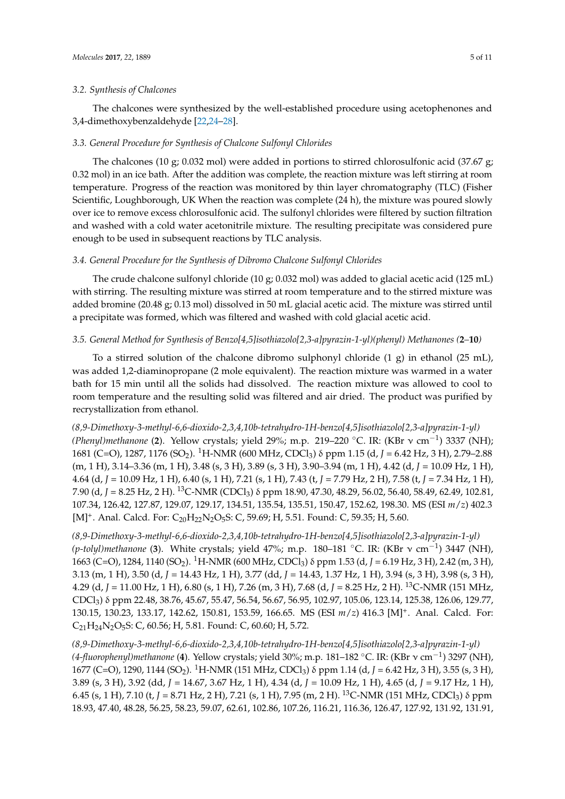The chalcones were synthesized by the well-established procedure using acetophenones and 3,4-dimethoxybenzaldehyde [\[22](#page-10-0)[,24](#page-10-2)[–28\]](#page-10-3).

### *3.3. General Procedure for Synthesis of Chalcone Sulfonyl Chlorides*

The chalcones (10 g; 0.032 mol) were added in portions to stirred chlorosulfonic acid (37.67 g; 0.32 mol) in an ice bath. After the addition was complete, the reaction mixture was left stirring at room temperature. Progress of the reaction was monitored by thin layer chromatography (TLC) (Fisher Scientific, Loughborough, UK When the reaction was complete (24 h), the mixture was poured slowly over ice to remove excess chlorosulfonic acid. The sulfonyl chlorides were filtered by suction filtration and washed with a cold water acetonitrile mixture. The resulting precipitate was considered pure enough to be used in subsequent reactions by TLC analysis.

### *3.4. General Procedure for the Synthesis of Dibromo Chalcone Sulfonyl Chlorides*

The crude chalcone sulfonyl chloride (10 g; 0.032 mol) was added to glacial acetic acid (125 mL) with stirring. The resulting mixture was stirred at room temperature and to the stirred mixture was added bromine (20.48 g; 0.13 mol) dissolved in 50 mL glacial acetic acid. The mixture was stirred until a precipitate was formed, which was filtered and washed with cold glacial acetic acid.

# *3.5. General Method for Synthesis of Benzo[4,5]isothiazolo[2,3-a]pyrazin-1-yl)(phenyl) Methanones (***2***–***10***)*

To a stirred solution of the chalcone dibromo sulphonyl chloride  $(1 g)$  in ethanol  $(25 ml)$ , was added 1,2-diaminopropane (2 mole equivalent). The reaction mixture was warmed in a water bath for 15 min until all the solids had dissolved. The reaction mixture was allowed to cool to room temperature and the resulting solid was filtered and air dried. The product was purified by recrystallization from ethanol.

*(8,9-Dimethoxy-3-methyl-6,6-dioxido-2,3,4,10b-tetrahydro-1H-benzo[4,5]isothiazolo[2,3-a]pyrazin-1-yl) (Phenyl)methanone* (**2**). Yellow crystals; yield 29%; m.p. 219–220 ◦C. IR: (KBr ν cm−<sup>1</sup> ) 3337 (NH); 1681 (C=O), 1287, 1176 (SO<sub>2</sub>). <sup>1</sup>H-NMR (600 MHz, CDCl<sub>3</sub>) δ ppm 1.15 (d, *J* = 6.42 Hz, 3 H), 2.79–2.88 (m, 1 H), 3.14–3.36 (m, 1 H), 3.48 (s, 3 H), 3.89 (s, 3 H), 3.90–3.94 (m, 1 H), 4.42 (d, *J* = 10.09 Hz, 1 H), 4.64 (d, *J* = 10.09 Hz, 1 H), 6.40 (s, 1 H), 7.21 (s, 1 H), 7.43 (t, *J* = 7.79 Hz, 2 H), 7.58 (t, *J* = 7.34 Hz, 1 H), 7.90 (d, *J* = 8.25 Hz, 2 H). <sup>13</sup>C-NMR (CDCl3) δ ppm 18.90, 47.30, 48.29, 56.02, 56.40, 58.49, 62.49, 102.81, 107.34, 126.42, 127.87, 129.07, 129.17, 134.51, 135.54, 135.51, 150.47, 152.62, 198.30. MS (ESI *m*/*z*) 402.3 [M]<sup>+</sup>. Anal. Calcd. For: C<sub>20</sub>H<sub>22</sub>N<sub>2</sub>O<sub>5</sub>S: C, 59.69; H, 5.51. Found: C, 59.35; H, 5.60.

*(8,9-Dimethoxy-3-methyl-6,6-dioxido-2,3,4,10b-tetrahydro-1H-benzo[4,5]isothiazolo[2,3-a]pyrazin-1-yl) (p-tolyl)methanone* (**3**). White crystals; yield 47%; m.p. 180–181 ◦C. IR: (KBr ν cm−<sup>1</sup> ) 3447 (NH), 1663 (C=O), 1284, 1140 (SO<sub>2</sub>). <sup>1</sup>H-NMR (600 MHz, CDCl<sub>3</sub>) δ ppm 1.53 (d, *J* = 6.19 Hz, 3 H), 2.42 (m, 3 H), 3.13 (m, 1 H), 3.50 (d, *J* = 14.43 Hz, 1 H), 3.77 (dd, *J* = 14.43, 1.37 Hz, 1 H), 3.94 (s, 3 H), 3.98 (s, 3 H), 4.29 (d, *J* = 11.00 Hz, 1 H), 6.80 (s, 1 H), 7.26 (m, 3 H), 7.68 (d, *J* = 8.25 Hz, 2 H). <sup>13</sup>C-NMR (151 MHz, CDCl3) δ ppm 22.48, 38.76, 45.67, 55.47, 56.54, 56.67, 56.95, 102.97, 105.06, 123.14, 125.38, 126.06, 129.77, 130.15, 130.23, 133.17, 142.62, 150.81, 153.59, 166.65. MS (ESI *m*/*z*) 416.3 [M]<sup>+</sup> . Anal. Calcd. For:  $C_{21}H_{24}N_2O_5S$ : C, 60.56; H, 5.81. Found: C, 60.60; H, 5.72.

*(8,9-Dimethoxy-3-methyl-6,6-dioxido-2,3,4,10b-tetrahydro-1H-benzo[4,5]isothiazolo[2,3-a]pyrazin-1-yl) (4-fluorophenyl)methanone* (**4**). Yellow crystals; yield 30%; m.p. 181–182 ◦C. IR: (KBr ν cm−<sup>1</sup> ) 3297 (NH), 1677 (C=O), 1290, 1144 (SO<sub>2</sub>). <sup>1</sup>H-NMR (151 MHz, CDCl<sub>3</sub>) δ ppm 1.14 (d, *J* = 6.42 Hz, 3 H), 3.55 (s, 3 H), 3.89 (s, 3 H), 3.92 (dd, *J* = 14.67, 3.67 Hz, 1 H), 4.34 (d, *J* = 10.09 Hz, 1 H), 4.65 (d, *J* = 9.17 Hz, 1 H), 6.45 (s, 1 H), 7.10 (t, *J* = 8.71 Hz, 2 H), 7.21 (s, 1 H), 7.95 (m, 2 H). <sup>13</sup>C-NMR (151 MHz, CDCl<sub>3</sub>) δ ppm 18.93, 47.40, 48.28, 56.25, 58.23, 59.07, 62.61, 102.86, 107.26, 116.21, 116.36, 126.47, 127.92, 131.92, 131.91,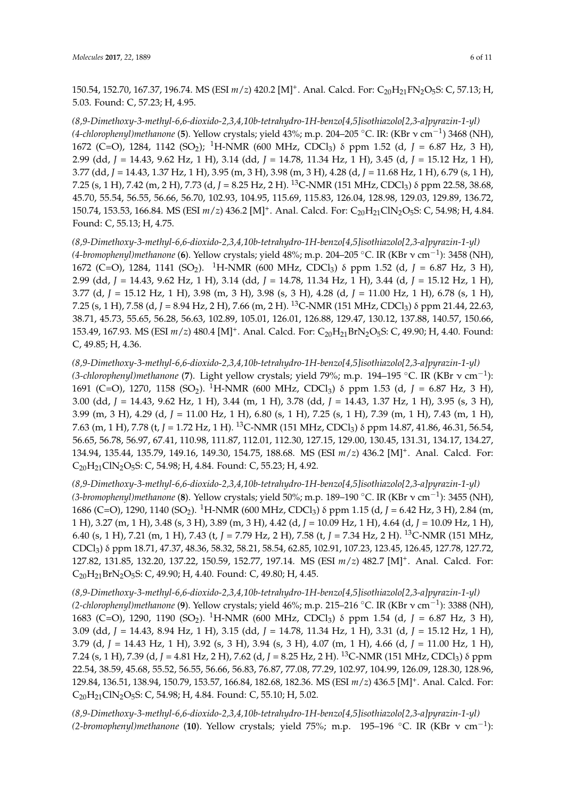150.54, 152.70, 167.37, 196.74. MS (ESI  $m/z$ ) 420.2 [M]<sup>+</sup>. Anal. Calcd. For: C<sub>20</sub>H<sub>21</sub>FN<sub>2</sub>O<sub>5</sub>S: C, 57.13; H, 5.03. Found: C, 57.23; H, 4.95.

*(8,9-Dimethoxy-3-methyl-6,6-dioxido-2,3,4,10b-tetrahydro-1H-benzo[4,5]isothiazolo[2,3-a]pyrazin-1-yl) (4-chlorophenyl)methanone* (**5**). Yellow crystals; yield 43%; m.p. 204–205 ◦C. IR: (KBr ν cm−<sup>1</sup> ) 3468 (NH), 1672 (C=O), 1284, 1142 (SO<sub>2</sub>); <sup>1</sup>H-NMR (600 MHz, CDCl<sub>3</sub>) δ ppm 1.52 (d, *J* = 6.87 Hz, 3 H), 2.99 (dd, *J* = 14.43, 9.62 Hz, 1 H), 3.14 (dd, *J* = 14.78, 11.34 Hz, 1 H), 3.45 (d, *J* = 15.12 Hz, 1 H), 3.77 (dd, *J* = 14.43, 1.37 Hz, 1 H), 3.95 (m, 3 H), 3.98 (m, 3 H), 4.28 (d, *J* = 11.68 Hz, 1 H), 6.79 (s, 1 H), 7.25 (s, 1 H), 7.42 (m, 2 H), 7.73 (d, *J* = 8.25 Hz, 2 H). <sup>13</sup>C-NMR (151 MHz, CDCl3) δ ppm 22.58, 38.68, 45.70, 55.54, 56.55, 56.66, 56.70, 102.93, 104.95, 115.69, 115.83, 126.04, 128.98, 129.03, 129.89, 136.72, 150.74, 153.53, 166.84. MS (ESI  $m/z$ ) 436.2 [M]<sup>+</sup>. Anal. Calcd. For: C<sub>20</sub>H<sub>21</sub>ClN<sub>2</sub>O<sub>5</sub>S: C, 54.98; H, 4.84. Found: C, 55.13; H, 4.75.

*(8,9-Dimethoxy-3-methyl-6,6-dioxido-2,3,4,10b-tetrahydro-1H-benzo[4,5]isothiazolo[2,3-a]pyrazin-1-yl) (4-bromophenyl)methanone* (**6**). Yellow crystals; yield 48%; m.p. 204–205 ◦C. IR (KBr ν cm−<sup>1</sup> ): 3458 (NH), 1672 (C=O), 1284, 1141 (SO<sub>2</sub>). <sup>1</sup>H-NMR (600 MHz, CDCl<sub>3</sub>) δ ppm 1.52 (d, *J* = 6.87 Hz, 3 H), 2.99 (dd, *J* = 14.43, 9.62 Hz, 1 H), 3.14 (dd, *J* = 14.78, 11.34 Hz, 1 H), 3.44 (d, *J* = 15.12 Hz, 1 H), 3.77 (d, *J* = 15.12 Hz, 1 H), 3.98 (m, 3 H), 3.98 (s, 3 H), 4.28 (d, *J* = 11.00 Hz, 1 H), 6.78 (s, 1 H), 7.25 (s, 1 H), 7.58 (d, *J* = 8.94 Hz, 2 H), 7.66 (m, 2 H). <sup>13</sup>C-NMR (151 MHz, CDCl3) δ ppm 21.44, 22.63, 38.71, 45.73, 55.65, 56.28, 56.63, 102.89, 105.01, 126.01, 126.88, 129.47, 130.12, 137.88, 140.57, 150.66, 153.49, 167.93. MS (ESI  $m/z$ ) 480.4 [M]<sup>+</sup>. Anal. Calcd. For: C<sub>20</sub>H<sub>21</sub>BrN<sub>2</sub>O<sub>5</sub>S: C, 49.90; H, 4.40. Found: C, 49.85; H, 4.36.

*(8,9-Dimethoxy-3-methyl-6,6-dioxido-2,3,4,10b-tetrahydro-1H-benzo[4,5]isothiazolo[2,3-a]pyrazin-1-yl) (3-chlorophenyl)methanone* (**7**). Light yellow crystals; yield 79%; m.p. 194–195 ◦C. IR (KBr ν cm−<sup>1</sup> ): 1691 (C=O), 1270, 1158 (SO<sub>2</sub>). <sup>1</sup>H-NMR (600 MHz, CDCl<sub>3</sub>) δ ppm 1.53 (d, *J* = 6.87 Hz, 3 H), 3.00 (dd, *J* = 14.43, 9.62 Hz, 1 H), 3.44 (m, 1 H), 3.78 (dd, *J* = 14.43, 1.37 Hz, 1 H), 3.95 (s, 3 H), 3.99 (m, 3 H), 4.29 (d, *J* = 11.00 Hz, 1 H), 6.80 (s, 1 H), 7.25 (s, 1 H), 7.39 (m, 1 H), 7.43 (m, 1 H), 7.63 (m, 1 H), 7.78 (t, *J* = 1.72 Hz, 1 H). <sup>13</sup>C-NMR (151 MHz, CDCl3) δ ppm 14.87, 41.86, 46.31, 56.54, 56.65, 56.78, 56.97, 67.41, 110.98, 111.87, 112.01, 112.30, 127.15, 129.00, 130.45, 131.31, 134.17, 134.27, 134.94, 135.44, 135.79, 149.16, 149.30, 154.75, 188.68. MS (ESI *m*/*z*) 436.2 [M]<sup>+</sup> . Anal. Calcd. For:  $C_{20}H_{21}CIN_2O_5S$ : C, 54.98; H, 4.84. Found: C, 55.23; H, 4.92.

*(8,9-Dimethoxy-3-methyl-6,6-dioxido-2,3,4,10b-tetrahydro-1H-benzo[4,5]isothiazolo[2,3-a]pyrazin-1-yl) (3-bromophenyl)methanone* (**8**). Yellow crystals; yield 50%; m.p. 189–190 ◦C. IR (KBr ν cm−<sup>1</sup> ): 3455 (NH), 1686 (C=O), 1290, 1140 (SO<sub>2</sub>). <sup>1</sup>H-NMR (600 MHz, CDCl<sub>3</sub>) δ ppm 1.15 (d, *J* = 6.42 Hz, 3 H), 2.84 (m, 1 H), 3.27 (m, 1 H), 3.48 (s, 3 H), 3.89 (m, 3 H), 4.42 (d, *J* = 10.09 Hz, 1 H), 4.64 (d, *J* = 10.09 Hz, 1 H), 6.40 (s, 1 H), 7.21 (m, 1 H), 7.43 (t, *J* = 7.79 Hz, 2 H), 7.58 (t, *J* = 7.34 Hz, 2 H). <sup>13</sup>C-NMR (151 MHz, CDCl3) δ ppm 18.71, 47.37, 48.36, 58.32, 58.21, 58.54, 62.85, 102.91, 107.23, 123.45, 126.45, 127.78, 127.72, 127.82, 131.85, 132.20, 137.22, 150.59, 152.77, 197.14. MS (ESI *m*/*z*) 482.7 [M]<sup>+</sup> . Anal. Calcd. For: C20H21BrN2O5S: C, 49.90; H, 4.40. Found: C, 49.80; H, 4.45.

*(8,9-Dimethoxy-3-methyl-6,6-dioxido-2,3,4,10b-tetrahydro-1H-benzo[4,5]isothiazolo[2,3-a]pyrazin-1-yl) (2-chlorophenyl)methanone* (**9**). Yellow crystals; yield 46%; m.p. 215–216 ◦C. IR (KBr ν cm−<sup>1</sup> ): 3388 (NH), 1683 (C=O), 1290, 1190 (SO<sub>2</sub>). <sup>1</sup>H-NMR (600 MHz, CDCl<sub>3</sub>) δ ppm 1.54 (d, *J* = 6.87 Hz, 3 H), 3.09 (dd, *J* = 14.43, 8.94 Hz, 1 H), 3.15 (dd, *J* = 14.78, 11.34 Hz, 1 H), 3.31 (d, *J* = 15.12 Hz, 1 H), 3.79 (d, *J* = 14.43 Hz, 1 H), 3.92 (s, 3 H), 3.94 (s, 3 H), 4.07 (m, 1 H), 4.66 (d, *J* = 11.00 Hz, 1 H), 7.24 (s, 1 H), 7.39 (d, *J* = 4.81 Hz, 2 H), 7.62 (d, *J* = 8.25 Hz, 2 H). <sup>13</sup>C-NMR (151 MHz, CDCl3) δ ppm 22.54, 38.59, 45.68, 55.52, 56.55, 56.66, 56.83, 76.87, 77.08, 77.29, 102.97, 104.99, 126.09, 128.30, 128.96, 129.84, 136.51, 138.94, 150.79, 153.57, 166.84, 182.68, 182.36. MS (ESI *m*/*z*) 436.5 [M]<sup>+</sup> . Anal. Calcd. For:  $C_{20}H_{21}CIN_2O_5S$ : C, 54.98; H, 4.84. Found: C, 55.10; H, 5.02.

*(8,9-Dimethoxy-3-methyl-6,6-dioxido-2,3,4,10b-tetrahydro-1H-benzo[4,5]isothiazolo[2,3-a]pyrazin-1-yl) (2-bromophenyl)methanone* (**10**). Yellow crystals; yield 75%; m.p. 195–196 ◦C. IR (KBr ν cm−<sup>1</sup> ):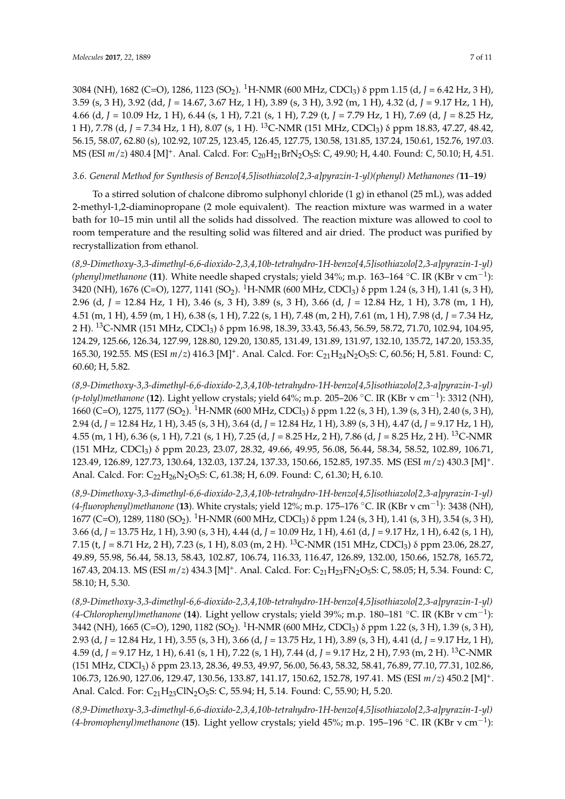3084 (NH), 1682 (C=O), 1286, 1123 (SO<sub>2</sub>). <sup>1</sup>H-NMR (600 MHz, CDCl<sub>3</sub>) δ ppm 1.15 (d, *J* = 6.42 Hz, 3 H), 3.59 (s, 3 H), 3.92 (dd, *J* = 14.67, 3.67 Hz, 1 H), 3.89 (s, 3 H), 3.92 (m, 1 H), 4.32 (d, *J* = 9.17 Hz, 1 H), 4.66 (d, *J* = 10.09 Hz, 1 H), 6.44 (s, 1 H), 7.21 (s, 1 H), 7.29 (t, *J* = 7.79 Hz, 1 H), 7.69 (d, *J* = 8.25 Hz, 1 H), 7.78 (d, *J* = 7.34 Hz, 1 H), 8.07 (s, 1 H). <sup>13</sup>C-NMR (151 MHz, CDCl3) δ ppm 18.83, 47.27, 48.42, 56.15, 58.07, 62.80 (s), 102.92, 107.25, 123.45, 126.45, 127.75, 130.58, 131.85, 137.24, 150.61, 152.76, 197.03. MS (ESI *m/z*) 480.4 [M]<sup>+</sup>. Anal. Calcd. For: C<sub>20</sub>H<sub>21</sub>BrN<sub>2</sub>O<sub>5</sub>S: C, 49.90; H, 4.40. Found: C, 50.10; H, 4.51.

# *3.6. General Method for Synthesis of Benzo[4,5]isothiazolo[2,3-a]pyrazin-1-yl)(phenyl) Methanones (***11***–***19***)*

To a stirred solution of chalcone dibromo sulphonyl chloride  $(1 g)$  in ethanol  $(25 mL)$ , was added 2-methyl-1,2-diaminopropane (2 mole equivalent). The reaction mixture was warmed in a water bath for 10–15 min until all the solids had dissolved. The reaction mixture was allowed to cool to room temperature and the resulting solid was filtered and air dried. The product was purified by recrystallization from ethanol.

*(8,9-Dimethoxy-3,3-dimethyl-6,6-dioxido-2,3,4,10b-tetrahydro-1H-benzo[4,5]isothiazolo[2,3-a]pyrazin-1-yl) (phenyl)methanone* (**11**). White needle shaped crystals; yield 34%; m.p. 163–164 ◦C. IR (KBr ν cm−<sup>1</sup> ): 3420 (NH), 1676 (C=O), 1277, 1141 (SO<sub>2</sub>). <sup>1</sup>H-NMR (600 MHz, CDCl<sub>3</sub>)  $\delta$  ppm 1.24 (s, 3 H), 1.41 (s, 3 H), 2.96 (d, *J* = 12.84 Hz, 1 H), 3.46 (s, 3 H), 3.89 (s, 3 H), 3.66 (d, *J* = 12.84 Hz, 1 H), 3.78 (m, 1 H), 4.51 (m, 1 H), 4.59 (m, 1 H), 6.38 (s, 1 H), 7.22 (s, 1 H), 7.48 (m, 2 H), 7.61 (m, 1 H), 7.98 (d, *J* = 7.34 Hz, 2 H). <sup>13</sup>C-NMR (151 MHz, CDCl3) δ ppm 16.98, 18.39, 33.43, 56.43, 56.59, 58.72, 71.70, 102.94, 104.95, 124.29, 125.66, 126.34, 127.99, 128.80, 129.20, 130.85, 131.49, 131.89, 131.97, 132.10, 135.72, 147.20, 153.35, 165.30, 192.55. MS (ESI  $m/z$ ) 416.3 [M]<sup>+</sup>. Anal. Calcd. For: C<sub>21</sub>H<sub>24</sub>N<sub>2</sub>O<sub>5</sub>S: C, 60.56; H, 5.81. Found: C, 60.60; H, 5.82.

*(8,9-Dimethoxy-3,3-dimethyl-6,6-dioxido-2,3,4,10b-tetrahydro-1H-benzo[4,5]isothiazolo[2,3-a]pyrazin-1-yl) (p-tolyl)methanone* (**12**). Light yellow crystals; yield 64%; m.p. 205–206 ◦C. IR (KBr ν cm−<sup>1</sup> ): 3312 (NH), 1660 (C=O), 1275, 1177 (SO<sub>2</sub>). <sup>1</sup>H-NMR (600 MHz, CDCl<sub>3</sub>) δ ppm 1.22 (s, 3 H), 1.39 (s, 3 H), 2.40 (s, 3 H), 2.94 (d, *J* = 12.84 Hz, 1 H), 3.45 (s, 3 H), 3.64 (d, *J* = 12.84 Hz, 1 H), 3.89 (s, 3 H), 4.47 (d, *J* = 9.17 Hz, 1 H), 4.55 (m, 1 H), 6.36 (s, 1 H), 7.21 (s, 1 H), 7.25 (d, *J* = 8.25 Hz, 2 H), 7.86 (d, *J* = 8.25 Hz, 2 H). <sup>13</sup>C-NMR (151 MHz, CDCl3) δ ppm 20.23, 23.07, 28.32, 49.66, 49.95, 56.08, 56.44, 58.34, 58.52, 102.89, 106.71, 123.49, 126.89, 127.73, 130.64, 132.03, 137.24, 137.33, 150.66, 152.85, 197.35. MS (ESI *m*/*z*) 430.3 [M]<sup>+</sup> . Anal. Calcd. For: C<sub>22</sub>H<sub>26</sub>N<sub>2</sub>O<sub>5</sub>S: C, 61.38; H, 6.09. Found: C, 61.30; H, 6.10.

*(8,9-Dimethoxy-3,3-dimethyl-6,6-dioxido-2,3,4,10b-tetrahydro-1H-benzo[4,5]isothiazolo[2,3-a]pyrazin-1-yl) (4-fluorophenyl)methanone* (**13**). White crystals; yield 12%; m.p. 175–176 ◦C. IR (KBr ν cm−<sup>1</sup> ): 3438 (NH), 1677 (C=O), 1289, 1180 (SO<sub>2</sub>). <sup>1</sup>H-NMR (600 MHz, CDCl<sub>3</sub>) δ ppm 1.24 (s, 3 H), 1.41 (s, 3 H), 3.54 (s, 3 H), 3.66 (d, *J* = 13.75 Hz, 1 H), 3.90 (s, 3 H), 4.44 (d, *J* = 10.09 Hz, 1 H), 4.61 (d, *J* = 9.17 Hz, 1 H), 6.42 (s, 1 H), 7.15 (t, *J* = 8.71 Hz, 2 H), 7.23 (s, 1 H), 8.03 (m, 2 H). <sup>13</sup>C-NMR (151 MHz, CDCl<sub>3</sub>) δ ppm 23.06, 28.27, 49.89, 55.98, 56.44, 58.13, 58.43, 102.87, 106.74, 116.33, 116.47, 126.89, 132.00, 150.66, 152.78, 165.72, 167.43, 204.13. MS (ESI  $m/z$ ) 434.3 [M]<sup>+</sup>. Anal. Calcd. For: C<sub>21</sub>H<sub>23</sub>FN<sub>2</sub>O<sub>5</sub>S: C, 58.05; H, 5.34. Found: C, 58.10; H, 5.30.

*(8,9-Dimethoxy-3,3-dimethyl-6,6-dioxido-2,3,4,10b-tetrahydro-1H-benzo[4,5]isothiazolo[2,3-a]pyrazin-1-yl) (4-Chlorophenyl)methanone* (**14**). Light yellow crystals; yield 39%; m.p. 180–181 ◦C. IR (KBr ν cm−<sup>1</sup> ): 3442 (NH), 1665 (C=O), 1290, 1182 (SO<sub>2</sub>). <sup>1</sup>H-NMR (600 MHz, CDCl<sub>3</sub>) δ ppm 1.22 (s, 3 H), 1.39 (s, 3 H), 2.93 (d, *J* = 12.84 Hz, 1 H), 3.55 (s, 3 H), 3.66 (d, *J* = 13.75 Hz, 1 H), 3.89 (s, 3 H), 4.41 (d, *J* = 9.17 Hz, 1 H), 4.59 (d, *J* = 9.17 Hz, 1 H), 6.41 (s, 1 H), 7.22 (s, 1 H), 7.44 (d, *J* = 9.17 Hz, 2 H), 7.93 (m, 2 H). <sup>13</sup>C-NMR (151 MHz, CDCl3) δ ppm 23.13, 28.36, 49.53, 49.97, 56.00, 56.43, 58.32, 58.41, 76.89, 77.10, 77.31, 102.86, 106.73, 126.90, 127.06, 129.47, 130.56, 133.87, 141.17, 150.62, 152.78, 197.41. MS (ESI *m*/*z*) 450.2 [M]<sup>+</sup> . Anal. Calcd. For: C<sub>21</sub>H<sub>23</sub>ClN<sub>2</sub>O<sub>5</sub>S: C, 55.94; H, 5.14. Found: C, 55.90; H, 5.20.

*(8,9-Dimethoxy-3,3-dimethyl-6,6-dioxido-2,3,4,10b-tetrahydro-1H-benzo[4,5]isothiazolo[2,3-a]pyrazin-1-yl) (4-bromophenyl)methanone* (**15**). Light yellow crystals; yield 45%; m.p. 195–196 ◦C. IR (KBr ν cm−<sup>1</sup> ):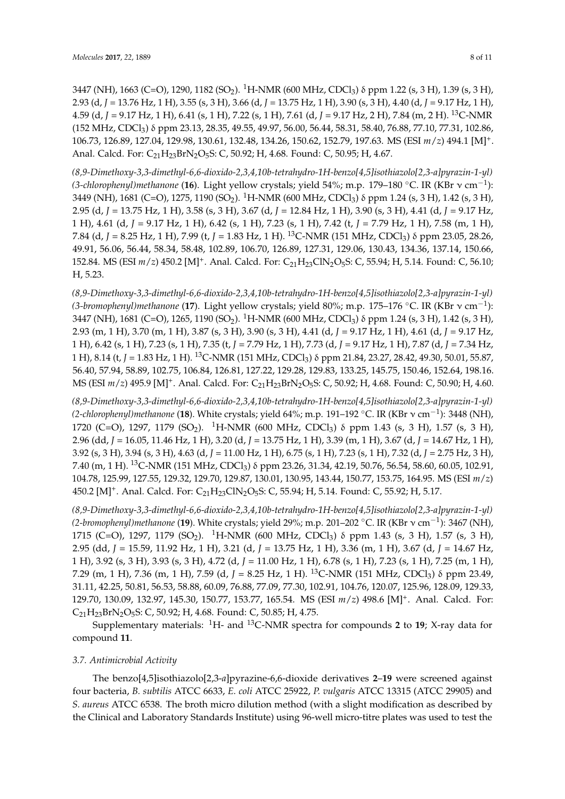3447 (NH), 1663 (C=O), 1290, 1182 (SO<sub>2</sub>). <sup>1</sup>H-NMR (600 MHz, CDCl<sub>3</sub>)  $\delta$  ppm 1.22 (s, 3 H), 1.39 (s, 3 H), 2.93 (d, *J* = 13.76 Hz, 1 H), 3.55 (s, 3 H), 3.66 (d, *J* = 13.75 Hz, 1 H), 3.90 (s, 3 H), 4.40 (d, *J* = 9.17 Hz, 1 H), 4.59 (d, *J* = 9.17 Hz, 1 H), 6.41 (s, 1 H), 7.22 (s, 1 H), 7.61 (d, *J* = 9.17 Hz, 2 H), 7.84 (m, 2 H). <sup>13</sup>C-NMR (152 MHz, CDCl3) δ ppm 23.13, 28.35, 49.55, 49.97, 56.00, 56.44, 58.31, 58.40, 76.88, 77.10, 77.31, 102.86, 106.73, 126.89, 127.04, 129.98, 130.61, 132.48, 134.26, 150.62, 152.79, 197.63. MS (ESI *m*/*z*) 494.1 [M]<sup>+</sup> . Anal. Calcd. For: C<sub>21</sub>H<sub>23</sub>BrN<sub>2</sub>O<sub>5</sub>S: C, 50.92; H, 4.68. Found: C, 50.95; H, 4.67.

*(8,9-Dimethoxy-3,3-dimethyl-6,6-dioxido-2,3,4,10b-tetrahydro-1H-benzo[4,5]isothiazolo[2,3-a]pyrazin-1-yl) (3-chlorophenyl)methanone* (**16**). Light yellow crystals; yield 54%; m.p. 179–180 ◦C. IR (KBr ν cm−<sup>1</sup> ): 3449 (NH), 1681 (C=O), 1275, 1190 (SO<sub>2</sub>). <sup>1</sup>H-NMR (600 MHz, CDCl<sub>3</sub>) δ ppm 1.24 (s, 3 H), 1.42 (s, 3 H), 2.95 (d, *J* = 13.75 Hz, 1 H), 3.58 (s, 3 H), 3.67 (d, *J* = 12.84 Hz, 1 H), 3.90 (s, 3 H), 4.41 (d, *J* = 9.17 Hz, 1 H), 4.61 (d, *J* = 9.17 Hz, 1 H), 6.42 (s, 1 H), 7.23 (s, 1 H), 7.42 (t, *J* = 7.79 Hz, 1 H), 7.58 (m, 1 H), 7.84 (d, *J* = 8.25 Hz, 1 H), 7.99 (t, *J* = 1.83 Hz, 1 H). <sup>13</sup>C-NMR (151 MHz, CDCl3) δ ppm 23.05, 28.26, 49.91, 56.06, 56.44, 58.34, 58.48, 102.89, 106.70, 126.89, 127.31, 129.06, 130.43, 134.36, 137.14, 150.66, 152.84. MS (ESI  $m/z$ ) 450.2 [M]<sup>+</sup>. Anal. Calcd. For: C<sub>21</sub>H<sub>23</sub>ClN<sub>2</sub>O<sub>5</sub>S: C, 55.94; H, 5.14. Found: C, 56.10; H, 5.23.

*(8,9-Dimethoxy-3,3-dimethyl-6,6-dioxido-2,3,4,10b-tetrahydro-1H-benzo[4,5]isothiazolo[2,3-a]pyrazin-1-yl) (3-bromophenyl)methanone* (**17**). Light yellow crystals; yield 80%; m.p. 175–176 ◦C. IR (KBr ν cm−<sup>1</sup> ): 3447 (NH), 1681 (C=O), 1265, 1190 (SO<sub>2</sub>). <sup>1</sup>H-NMR (600 MHz, CDCl<sub>3</sub>)  $\delta$  ppm 1.24 (s, 3 H), 1.42 (s, 3 H), 2.93 (m, 1 H), 3.70 (m, 1 H), 3.87 (s, 3 H), 3.90 (s, 3 H), 4.41 (d, *J* = 9.17 Hz, 1 H), 4.61 (d, *J* = 9.17 Hz, 1 H), 6.42 (s, 1 H), 7.23 (s, 1 H), 7.35 (t, *J* = 7.79 Hz, 1 H), 7.73 (d, *J* = 9.17 Hz, 1 H), 7.87 (d, *J* = 7.34 Hz, 1 H), 8.14 (t, *J* = 1.83 Hz, 1 H). <sup>13</sup>C-NMR (151 MHz, CDCl3) δ ppm 21.84, 23.27, 28.42, 49.30, 50.01, 55.87, 56.40, 57.94, 58.89, 102.75, 106.84, 126.81, 127.22, 129.28, 129.83, 133.25, 145.75, 150.46, 152.64, 198.16. MS (ESI *m/z*) 495.9 [M]<sup>+</sup>. Anal. Calcd. For: C<sub>21</sub>H<sub>23</sub>BrN<sub>2</sub>O<sub>5</sub>S: C, 50.92; H, 4.68. Found: C, 50.90; H, 4.60.

*(8,9-Dimethoxy-3,3-dimethyl-6,6-dioxido-2,3,4,10b-tetrahydro-1H-benzo[4,5]isothiazolo[2,3-a]pyrazin-1-yl) (2-chlorophenyl)methanone* (**18**). White crystals; yield 64%; m.p. 191–192 ◦C. IR (KBr ν cm−<sup>1</sup> ): 3448 (NH), 1720 (C=O), 1297, 1179 (SO<sub>2</sub>). <sup>1</sup>H-NMR (600 MHz, CDCl<sub>3</sub>)  $\delta$  ppm 1.43 (s, 3 H), 1.57 (s, 3 H), 2.96 (dd, *J* = 16.05, 11.46 Hz, 1 H), 3.20 (d, *J* = 13.75 Hz, 1 H), 3.39 (m, 1 H), 3.67 (d, *J* = 14.67 Hz, 1 H), 3.92 (s, 3 H), 3.94 (s, 3 H), 4.63 (d, *J* = 11.00 Hz, 1 H), 6.75 (s, 1 H), 7.23 (s, 1 H), 7.32 (d, *J* = 2.75 Hz, 3 H), 7.40 (m, 1 H). <sup>13</sup>C-NMR (151 MHz, CDCl3) δ ppm 23.26, 31.34, 42.19, 50.76, 56.54, 58.60, 60.05, 102.91, 104.78, 125.99, 127.55, 129.32, 129.70, 129.87, 130.01, 130.95, 143.44, 150.77, 153.75, 164.95. MS (ESI *m*/*z*) 450.2 [M]<sup>+</sup>. Anal. Calcd. For: C<sub>21</sub>H<sub>23</sub>ClN<sub>2</sub>O<sub>5</sub>S: C, 55.94; H, 5.14. Found: C, 55.92; H, 5.17.

*(8,9-Dimethoxy-3,3-dimethyl-6,6-dioxido-2,3,4,10b-tetrahydro-1H-benzo[4,5]isothiazolo[2,3-a]pyrazin-1-yl) (2-bromophenyl)methanone* (**19**). White crystals; yield 29%; m.p. 201–202 ◦C. IR (KBr ν cm−<sup>1</sup> ): 3467 (NH), 1715 (C=O), 1297, 1179 (SO<sub>2</sub>). <sup>1</sup>H-NMR (600 MHz, CDCl<sub>3</sub>) δ ppm 1.43 (s, 3 H), 1.57 (s, 3 H), 2.95 (dd, *J* = 15.59, 11.92 Hz, 1 H), 3.21 (d, *J* = 13.75 Hz, 1 H), 3.36 (m, 1 H), 3.67 (d, *J* = 14.67 Hz, 1 H), 3.92 (s, 3 H), 3.93 (s, 3 H), 4.72 (d, *J* = 11.00 Hz, 1 H), 6.78 (s, 1 H), 7.23 (s, 1 H), 7.25 (m, 1 H), 7.29 (m, 1 H), 7.36 (m, 1 H), 7.59 (d, *J* = 8.25 Hz, 1 H). <sup>13</sup>C-NMR (151 MHz, CDCl<sub>3</sub>) δ ppm 23.49, 31.11, 42.25, 50.81, 56.53, 58.88, 60.09, 76.88, 77.09, 77.30, 102.91, 104.76, 120.07, 125.96, 128.09, 129.33, 129.70, 130.09, 132.97, 145.30, 150.77, 153.77, 165.54. MS (ESI *m*/*z*) 498.6 [M]<sup>+</sup> . Anal. Calcd. For:  $C_{21}H_{23}BrN_2O_5S$ : C, 50.92; H, 4.68. Found: C, 50.85; H, 4.75.

Supplementary materials: <sup>1</sup>H- and <sup>13</sup>C-NMR spectra for compounds **2** to **19**; X-ray data for compound **11**.

### *3.7. Antimicrobial Activity*

The benzo[4,5]isothiazolo[2,3-*a*]pyrazine-6,6-dioxide derivatives **2**–**19** were screened against four bacteria, *B. subtilis* ATCC 6633, *E. coli* ATCC 25922, *P. vulgaris* ATCC 13315 (ATCC 29905) and *S. aureus* ATCC 6538. The broth micro dilution method (with a slight modification as described by the Clinical and Laboratory Standards Institute) using 96-well micro-titre plates was used to test the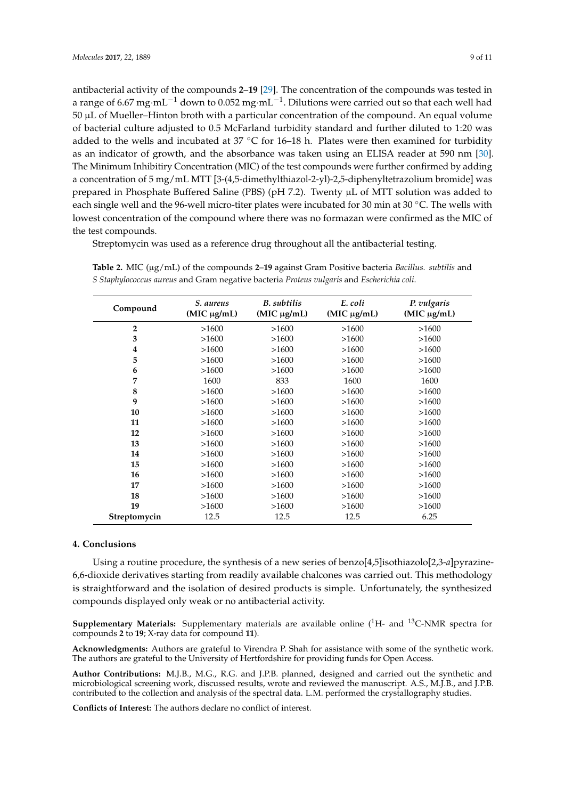the test compounds.

antibacterial activity of the compounds **2**–**19** [\[29\]](#page-10-4). The concentration of the compounds was tested in a range of 6.67  $\rm mg\cdot mL^{-1}$  down to 0.052  $\rm mg\cdot mL^{-1}$ . Dilutions were carried out so that each well had 50 µL of Mueller–Hinton broth with a particular concentration of the compound. An equal volume of bacterial culture adjusted to 0.5 McFarland turbidity standard and further diluted to 1:20 was added to the wells and incubated at  $37 \text{ °C}$  for  $16-18$  h. Plates were then examined for turbidity as an indicator of growth, and the absorbance was taken using an ELISA reader at 590 nm [\[30\]](#page-10-5). The Minimum Inhibitiry Concentration (MIC) of the test compounds were further confirmed by adding a concentration of 5 mg/mL MTT [3-(4,5-dimethylthiazol-2-yl)-2,5-diphenyltetrazolium bromide] was prepared in Phosphate Buffered Saline (PBS) (pH 7.2). Twenty µL of MTT solution was added to each single well and the 96-well micro-titer plates were incubated for 30 min at 30 ℃. The wells with lowest concentration of the compound where there was no formazan were confirmed as the MIC of

Streptomycin was used as a reference drug throughout all the antibacterial testing.

| Compound       | S. aureus<br>(MIC µg/mL) | <b>B.</b> subtilis<br>$(MIC \mu g/mL)$ | E. coli<br>$(MIC \mu g/mL)$ | P. vulgaris<br>$(MIC \mu g/mL)$ |
|----------------|--------------------------|----------------------------------------|-----------------------------|---------------------------------|
| $\overline{2}$ | >1600                    | >1600                                  | >1600                       | >1600                           |
| 3              | >1600                    | >1600                                  | >1600                       | >1600                           |
| 4              | >1600                    | >1600                                  | >1600                       | >1600                           |
| 5              | >1600                    | >1600                                  | >1600                       | >1600                           |
| 6              | >1600                    | >1600                                  | >1600                       | >1600                           |
| 7              | 1600                     | 833                                    | 1600                        | 1600                            |
| 8              | >1600                    | >1600                                  | >1600                       | >1600                           |
| 9              | >1600                    | >1600                                  | >1600                       | >1600                           |
| 10             | >1600                    | >1600                                  | >1600                       | >1600                           |
| 11             | >1600                    | >1600                                  | >1600                       | >1600                           |
| 12             | >1600                    | >1600                                  | >1600                       | >1600                           |
| 13             | >1600                    | >1600                                  | >1600                       | >1600                           |
| 14             | >1600                    | >1600                                  | >1600                       | >1600                           |
| 15             | >1600                    | >1600                                  | >1600                       | >1600                           |
| 16             | >1600                    | >1600                                  | >1600                       | >1600                           |
| 17             | >1600                    | >1600                                  | >1600                       | >1600                           |
| 18             | >1600                    | >1600                                  | >1600                       | >1600                           |
| 19             | >1600                    | >1600                                  | >1600                       | >1600                           |
| Streptomycin   | 12.5                     | 12.5                                   | 12.5                        | 6.25                            |

<span id="page-8-0"></span>**Table 2.** MIC (µg/mL) of the compounds **2**–**19** against Gram Positive bacteria *Bacillus. subtilis* and *S Staphylococcus aureus* and Gram negative bacteria *Proteus vulgaris* and *Escherichia coli*.

### **4. Conclusions**

Using a routine procedure, the synthesis of a new series of benzo[4,5]isothiazolo[2,3-*a*]pyrazine-6,6-dioxide derivatives starting from readily available chalcones was carried out. This methodology is straightforward and the isolation of desired products is simple. Unfortunately, the synthesized compounds displayed only weak or no antibacterial activity.

**Supplementary Materials:** Supplementary materials are available online (<sup>1</sup>H- and <sup>13</sup>C-NMR spectra for compounds **2** to **19**; X-ray data for compound **11**).

**Acknowledgments:** Authors are grateful to Virendra P. Shah for assistance with some of the synthetic work. The authors are grateful to the University of Hertfordshire for providing funds for Open Access.

**Author Contributions:** M.J.B., M.G., R.G. and J.P.B. planned, designed and carried out the synthetic and microbiological screening work, discussed results, wrote and reviewed the manuscript. A.S., M.J.B., and J.P.B. contributed to the collection and analysis of the spectral data. L.M. performed the crystallography studies.

**Conflicts of Interest:** The authors declare no conflict of interest.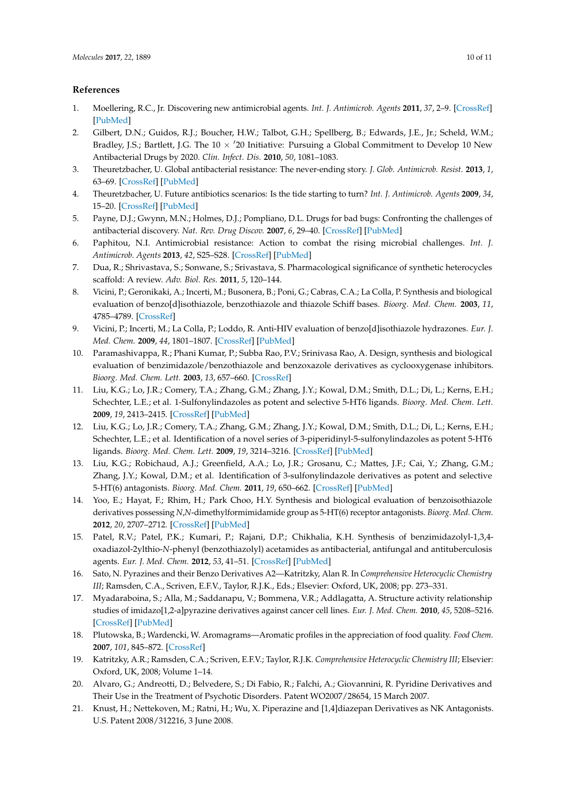# **References**

- <span id="page-9-0"></span>1. Moellering, R.C., Jr. Discovering new antimicrobial agents. *Int. J. Antimicrob. Agents* **2011**, *37*, 2–9. [\[CrossRef\]](http://dx.doi.org/10.1016/j.ijantimicag.2010.08.018) [\[PubMed\]](http://www.ncbi.nlm.nih.gov/pubmed/21075608)
- <span id="page-9-1"></span>2. Gilbert, D.N.; Guidos, R.J.; Boucher, H.W.; Talbot, G.H.; Spellberg, B.; Edwards, J.E., Jr.; Scheld, W.M.; Bradley, J.S.; Bartlett, J.G. The  $10 \times 20$  Initiative: Pursuing a Global Commitment to Develop 10 New Antibacterial Drugs by 2020. *Clin. Infect. Dis.* **2010**, *50*, 1081–1083.
- <span id="page-9-2"></span>3. Theuretzbacher, U. Global antibacterial resistance: The never-ending story. *J. Glob. Antimicrob. Resist.* **2013**, *1*, 63–69. [\[CrossRef\]](http://dx.doi.org/10.1016/j.jgar.2013.03.010) [\[PubMed\]](http://www.ncbi.nlm.nih.gov/pubmed/27873580)
- <span id="page-9-3"></span>4. Theuretzbacher, U. Future antibiotics scenarios: Is the tide starting to turn? *Int. J. Antimicrob. Agents* **2009**, *34*, 15–20. [\[CrossRef\]](http://dx.doi.org/10.1016/j.ijantimicag.2009.02.005) [\[PubMed\]](http://www.ncbi.nlm.nih.gov/pubmed/19342202)
- <span id="page-9-4"></span>5. Payne, D.J.; Gwynn, M.N.; Holmes, D.J.; Pompliano, D.L. Drugs for bad bugs: Confronting the challenges of antibacterial discovery. *Nat. Rev. Drug Discov.* **2007**, *6*, 29–40. [\[CrossRef\]](http://dx.doi.org/10.1038/nrd2201) [\[PubMed\]](http://www.ncbi.nlm.nih.gov/pubmed/17159923)
- <span id="page-9-5"></span>6. Paphitou, N.I. Antimicrobial resistance: Action to combat the rising microbial challenges. *Int. J. Antimicrob. Agents* **2013**, *42*, S25–S28. [\[CrossRef\]](http://dx.doi.org/10.1016/j.ijantimicag.2013.04.007) [\[PubMed\]](http://www.ncbi.nlm.nih.gov/pubmed/23684003)
- <span id="page-9-6"></span>7. Dua, R.; Shrivastava, S.; Sonwane, S.; Srivastava, S. Pharmacological significance of synthetic heterocycles scaffold: A review. *Adv. Biol. Res.* **2011**, *5*, 120–144.
- <span id="page-9-7"></span>8. Vicini, P.; Geronikaki, A.; Incerti, M.; Busonera, B.; Poni, G.; Cabras, C.A.; La Colla, P. Synthesis and biological evaluation of benzo[d]isothiazole, benzothiazole and thiazole Schiff bases. *Bioorg. Med. Chem.* **2003**, *11*, 4785–4789. [\[CrossRef\]](http://dx.doi.org/10.1016/S0968-0896(03)00493-0)
- <span id="page-9-8"></span>9. Vicini, P.; Incerti, M.; La Colla, P.; Loddo, R. Anti-HIV evaluation of benzo[d]isothiazole hydrazones. *Eur. J. Med. Chem.* **2009**, *44*, 1801–1807. [\[CrossRef\]](http://dx.doi.org/10.1016/j.ejmech.2008.05.030) [\[PubMed\]](http://www.ncbi.nlm.nih.gov/pubmed/18614259)
- <span id="page-9-9"></span>10. Paramashivappa, R.; Phani Kumar, P.; Subba Rao, P.V.; Srinivasa Rao, A. Design, synthesis and biological evaluation of benzimidazole/benzothiazole and benzoxazole derivatives as cyclooxygenase inhibitors. *Bioorg. Med. Chem. Lett.* **2003**, *13*, 657–660. [\[CrossRef\]](http://dx.doi.org/10.1016/S0960-894X(02)01006-5)
- <span id="page-9-10"></span>11. Liu, K.G.; Lo, J.R.; Comery, T.A.; Zhang, G.M.; Zhang, J.Y.; Kowal, D.M.; Smith, D.L.; Di, L.; Kerns, E.H.; Schechter, L.E.; et al. 1-Sulfonylindazoles as potent and selective 5-HT6 ligands. *Bioorg. Med. Chem. Lett.* **2009**, *19*, 2413–2415. [\[CrossRef\]](http://dx.doi.org/10.1016/j.bmcl.2009.03.071) [\[PubMed\]](http://www.ncbi.nlm.nih.gov/pubmed/19345582)
- 12. Liu, K.G.; Lo, J.R.; Comery, T.A.; Zhang, G.M.; Zhang, J.Y.; Kowal, D.M.; Smith, D.L.; Di, L.; Kerns, E.H.; Schechter, L.E.; et al. Identification of a novel series of 3-piperidinyl-5-sulfonylindazoles as potent 5-HT6 ligands. *Bioorg. Med. Chem. Lett.* **2009**, *19*, 3214–3216. [\[CrossRef\]](http://dx.doi.org/10.1016/j.bmcl.2009.04.108) [\[PubMed\]](http://www.ncbi.nlm.nih.gov/pubmed/19433358)
- <span id="page-9-11"></span>13. Liu, K.G.; Robichaud, A.J.; Greenfield, A.A.; Lo, J.R.; Grosanu, C.; Mattes, J.F.; Cai, Y.; Zhang, G.M.; Zhang, J.Y.; Kowal, D.M.; et al. Identification of 3-sulfonylindazole derivatives as potent and selective 5-HT(6) antagonists. *Bioorg. Med. Chem.* **2011**, *19*, 650–662. [\[CrossRef\]](http://dx.doi.org/10.1016/j.bmc.2010.10.033) [\[PubMed\]](http://www.ncbi.nlm.nih.gov/pubmed/21093272)
- <span id="page-9-12"></span>14. Yoo, E.; Hayat, F.; Rhim, H.; Park Choo, H.Y. Synthesis and biological evaluation of benzoisothiazole derivatives possessing *N*,*N*-dimethylformimidamide group as 5-HT(6) receptor antagonists. *Bioorg. Med. Chem.* **2012**, *20*, 2707–2712. [\[CrossRef\]](http://dx.doi.org/10.1016/j.bmc.2012.02.020) [\[PubMed\]](http://www.ncbi.nlm.nih.gov/pubmed/22405919)
- <span id="page-9-13"></span>15. Patel, R.V.; Patel, P.K.; Kumari, P.; Rajani, D.P.; Chikhalia, K.H. Synthesis of benzimidazolyl-1,3,4 oxadiazol-2ylthio-*N*-phenyl (benzothiazolyl) acetamides as antibacterial, antifungal and antituberculosis agents. *Eur. J. Med. Chem.* **2012**, *53*, 41–51. [\[CrossRef\]](http://dx.doi.org/10.1016/j.ejmech.2012.03.033) [\[PubMed\]](http://www.ncbi.nlm.nih.gov/pubmed/22516426)
- <span id="page-9-14"></span>16. Sato, N. Pyrazines and their Benzo Derivatives A2—Katritzky, Alan R. In *Comprehensive Heterocyclic Chemistry III*; Ramsden, C.A., Scriven, E.F.V., Taylor, R.J.K., Eds.; Elsevier: Oxford, UK, 2008; pp. 273–331.
- <span id="page-9-15"></span>17. Myadaraboina, S.; Alla, M.; Saddanapu, V.; Bommena, V.R.; Addlagatta, A. Structure activity relationship studies of imidazo[1,2-a]pyrazine derivatives against cancer cell lines. *Eur. J. Med. Chem.* **2010**, *45*, 5208–5216. [\[CrossRef\]](http://dx.doi.org/10.1016/j.ejmech.2010.08.035) [\[PubMed\]](http://www.ncbi.nlm.nih.gov/pubmed/20832916)
- <span id="page-9-16"></span>18. Plutowska, B.; Wardencki, W. Aromagrams—Aromatic profiles in the appreciation of food quality. *Food Chem.* **2007**, *101*, 845–872. [\[CrossRef\]](http://dx.doi.org/10.1016/j.foodchem.2005.12.028)
- <span id="page-9-17"></span>19. Katritzky, A.R.; Ramsden, C.A.; Scriven, E.F.V.; Taylor, R.J.K. *Comprehensive Heterocyclic Chemistry III*; Elsevier: Oxford, UK, 2008; Volume 1–14.
- <span id="page-9-18"></span>20. Alvaro, G.; Andreotti, D.; Belvedere, S.; Di Fabio, R.; Falchi, A.; Giovannini, R. Pyridine Derivatives and Their Use in the Treatment of Psychotic Disorders. Patent WO2007/28654, 15 March 2007.
- <span id="page-9-19"></span>21. Knust, H.; Nettekoven, M.; Ratni, H.; Wu, X. Piperazine and [1,4]diazepan Derivatives as NK Antagonists. U.S. Patent 2008/312216, 3 June 2008.